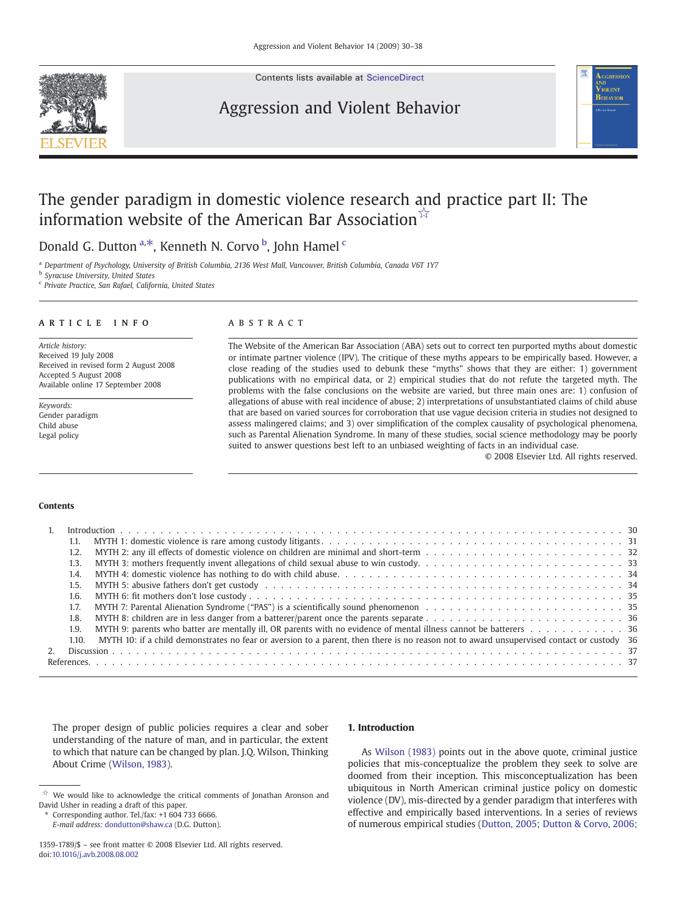

Contents lists available at [ScienceDirect](http://www.sciencedirect.com/science/journal/13591789)

# Aggression and Violent Behavior



# The gender paradigm in domestic violence research and practice part II: The information website of the American Bar Association $\dot{\alpha}$

Donald G. Dutton <sup>a,\*</sup>, Kenneth N. Corvo <sup>b</sup>, John Hamel <sup>c</sup>

<sup>a</sup> Department of Psychology, University of British Columbia, 2136 West Mall, Vancouver, British Columbia, Canada V6T 1Y7

**b** Syracuse University, United States

<sup>c</sup> Private Practice, San Rafael, California, United States

## article info abstract

Article history: Received 19 July 2008 Received in revised form 2 August 2008 Accepted 5 August 2008 Available online 17 September 2008

Keywords: Gender paradigm Child abuse Legal policy

The Website of the American Bar Association (ABA) sets out to correct ten purported myths about domestic or intimate partner violence (IPV). The critique of these myths appears to be empirically based. However, a close reading of the studies used to debunk these "myths" shows that they are either: 1) government publications with no empirical data, or 2) empirical studies that do not refute the targeted myth. The problems with the false conclusions on the website are varied, but three main ones are: 1) confusion of allegations of abuse with real incidence of abuse; 2) interpretations of unsubstantiated claims of child abuse that are based on varied sources for corroboration that use vague decision criteria in studies not designed to assess malingered claims; and 3) over simplification of the complex causality of psychological phenomena, such as Parental Alienation Syndrome. In many of these studies, social science methodology may be poorly suited to answer questions best left to an unbiased weighting of facts in an individual case.

© 2008 Elsevier Ltd. All rights reserved.

#### **Contents**

| 1.1. |                                                                                                                                                                                                                               |  |
|------|-------------------------------------------------------------------------------------------------------------------------------------------------------------------------------------------------------------------------------|--|
| 1.2. |                                                                                                                                                                                                                               |  |
| 1.3. |                                                                                                                                                                                                                               |  |
| 1.4. |                                                                                                                                                                                                                               |  |
| 1.5. | MYTH 5: abusive fathers don't get custody enterpreeney received to compute the content of the content of the content of the content of the content of the content of the content of the content of the content of the content |  |
| 1.6. |                                                                                                                                                                                                                               |  |
| 1.7. | MYTH 7: Parental Alienation Syndrome ("PAS") is a scientifically sound phenomenon etable containment or a series of the 35                                                                                                    |  |
| 1.8. |                                                                                                                                                                                                                               |  |
| 1.9. | MYTH 9: parents who batter are mentally ill, OR parents with no evidence of mental illness cannot be batterers 36                                                                                                             |  |
|      | 1.10. MYTH 10: if a child demonstrates no fear or aversion to a parent, then there is no reason not to award unsupervised contact or custody 36                                                                               |  |
|      |                                                                                                                                                                                                                               |  |
|      |                                                                                                                                                                                                                               |  |

The proper design of public policies requires a clear and sober understanding of the nature of man, and in particular, the extent to which that nature can be changed by plan. J.Q. Wilson, Thinking About Crime [\(Wilson, 1983\)](#page-8-0).

#### 1. Introduction

 $\overrightarrow{x}$  We would like to acknowledge the critical comments of Jonathan Aronson and David Usher in reading a draft of this paper.

Corresponding author. Tel./fax: +1 604 733 6666. E-mail address: [dondutton@shaw.ca](mailto:dondutton@shaw.ca) (D.G. Dutton).

As [Wilson \(1983\)](#page-8-0) points out in the above quote, criminal justice policies that mis-conceptualize the problem they seek to solve are doomed from their inception. This misconceptualization has been ubiquitous in North American criminal justice policy on domestic violence (DV), mis-directed by a gender paradigm that interferes with effective and empirically based interventions. In a series of reviews of numerous empirical studies ([Dutton, 2005; Dutton & Corvo, 2006;](#page-7-0)

<sup>1359-1789/\$</sup> – see front matter © 2008 Elsevier Ltd. All rights reserved. doi[:10.1016/j.avb.2008.08.002](http://dx.doi.org/10.1016/j.avb.2008.08.002)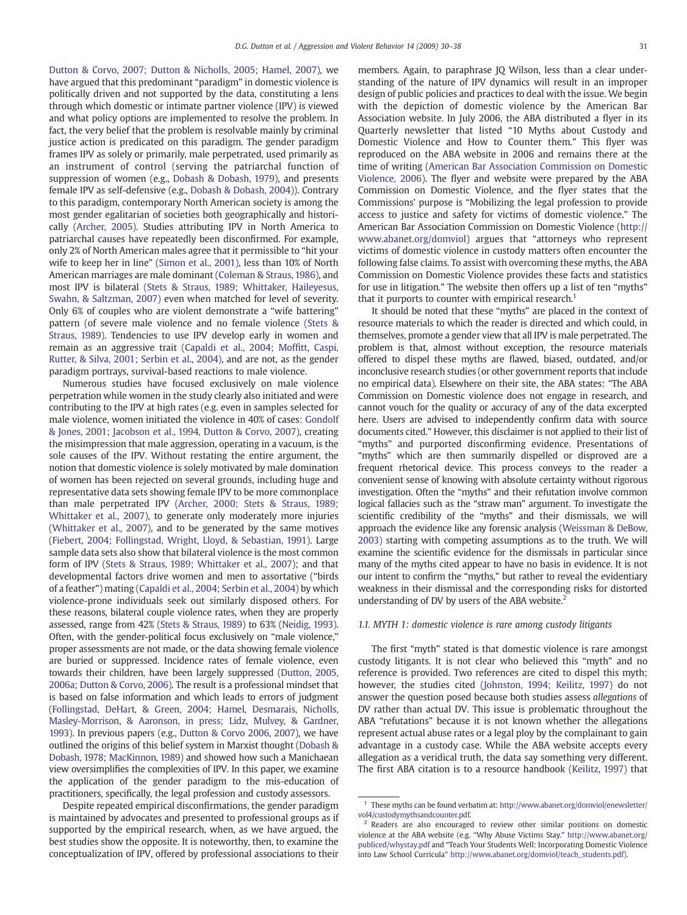[Dutton & Corvo, 2007; Dutton & Nicholls, 2005; Hamel, 2007\)](#page-7-0), we have argued that this predominant "paradigm" in domestic violence is politically driven and not supported by the data, constituting a lens through which domestic or intimate partner violence (IPV) is viewed and what policy options are implemented to resolve the problem. In fact, the very belief that the problem is resolvable mainly by criminal justice action is predicated on this paradigm. The gender paradigm frames IPV as solely or primarily, male perpetrated, used primarily as an instrument of control (serving the patriarchal function of suppression of women (e.g., [Dobash & Dobash, 1979\)](#page-7-0), and presents female IPV as self-defensive (e.g., [Dobash & Dobash, 2004](#page-7-0))). Contrary to this paradigm, contemporary North American society is among the most gender egalitarian of societies both geographically and historically ([Archer, 2005](#page-7-0)). Studies attributing IPV in North America to patriarchal causes have repeatedly been disconfirmed. For example, only 2% of North American males agree that it permissible to "hit your wife to keep her in line" ([Simon et al., 2001](#page-8-0)), less than 10% of North American marriages are male dominant ([Coleman & Straus, 1986](#page-7-0)), and most IPV is bilateral ([Stets & Straus, 1989; Whittaker, Haileyesus,](#page-8-0) [Swahn, & Saltzman, 2007\)](#page-8-0) even when matched for level of severity. Only 6% of couples who are violent demonstrate a "wife battering" pattern (of severe male violence and no female violence ([Stets &](#page-8-0) [Straus, 1989\)](#page-8-0). Tendencies to use IPV develop early in women and remain as an aggressive trait [\(Capaldi et al., 2004;](#page-7-0) Moffi[tt, Caspi,](#page-8-0) [Rutter, & Silva, 2001; Serbin et al., 2004](#page-8-0)), and are not, as the gender paradigm portrays, survival-based reactions to male violence.

Numerous studies have focused exclusively on male violence perpetration while women in the study clearly also initiated and were contributing to the IPV at high rates (e.g. even in samples selected for male violence, women initiated the violence in 40% of cases: [Gondolf](#page-7-0) [& Jones, 2001; Jacobson et al., 1994, Dutton & Corvo, 2007\)](#page-7-0), creating the misimpression that male aggression, operating in a vacuum, is the sole causes of the IPV. Without restating the entire argument, the notion that domestic violence is solely motivated by male domination of women has been rejected on several grounds, including huge and representative data sets showing female IPV to be more commonplace than male perpetrated IPV ([Archer, 2000; Stets & Straus, 1989;](#page-7-0) [Whittaker et al., 2007](#page-7-0)), to generate only moderately more injuries [\(Whittaker et al., 2007\)](#page-8-0), and to be generated by the same motives [\(Fiebert, 2004; Follingstad, Wright, Lloyd, & Sebastian, 1991](#page-7-0)). Large sample data sets also show that bilateral violence is the most common form of IPV ([Stets & Straus, 1989; Whittaker et al., 2007](#page-8-0)); and that developmental factors drive women and men to assortative ("birds of a feather") mating ([Capaldi et al., 2004;](#page-7-0) [Serbin et al., 2004](#page-8-0)) by which violence-prone individuals seek out similarly disposed others. For these reasons, bilateral couple violence rates, when they are properly assessed, range from 42% [\(Stets & Straus, 1989\)](#page-8-0) to 63% ([Neidig, 1993\)](#page-8-0). Often, with the gender-political focus exclusively on "male violence," proper assessments are not made, or the data showing female violence are buried or suppressed. Incidence rates of female violence, even towards their children, have been largely suppressed ([Dutton, 2005,](#page-7-0) [2006a; Dutton & Corvo, 2006](#page-7-0)). The result is a professional mindset that is based on false information and which leads to errors of judgment [\(Follingstad, DeHart, & Green, 2004; Hamel, Desmarais, Nicholls,](#page-7-0) [Masley-Morrison, & Aaronson, in press; Lidz, Mulvey, & Gardner,](#page-7-0) [1993\)](#page-7-0). In previous papers (e.g., [Dutton & Corvo 2006](#page-7-0), [2007\)](#page-7-0), we have outlined the origins of this belief system in Marxist thought [\(Dobash &](#page-7-0) [Dobash, 1978; MacKinnon, 1989](#page-7-0)) and showed how such a Manichaean view oversimplifies the complexities of IPV. In this paper, we examine the application of the gender paradigm to the mis-education of practitioners, specifically, the legal profession and custody assessors.

Despite repeated empirical disconfirmations, the gender paradigm is maintained by advocates and presented to professional groups as if supported by the empirical research, when, as we have argued, the best studies show the opposite. It is noteworthy, then, to examine the conceptualization of IPV, offered by professional associations to their

members. Again, to paraphrase JQ Wilson, less than a clear understanding of the nature of IPV dynamics will result in an improper design of public policies and practices to deal with the issue. We begin with the depiction of domestic violence by the American Bar Association website. In July 2006, the ABA distributed a flyer in its Quarterly newsletter that listed "10 Myths about Custody and Domestic Violence and How to Counter them." This flyer was reproduced on the ABA website in 2006 and remains there at the time of writing ([American Bar Association Commission on Domestic](#page-7-0) [Violence, 2006\)](#page-7-0). The flyer and website were prepared by the ABA Commission on Domestic Violence, and the flyer states that the Commissions' purpose is "Mobilizing the legal profession to provide access to justice and safety for victims of domestic violence." The American Bar Association Commission on Domestic Violence [\(http://](http://www.abanet.org/domviol) [www.abanet.org/domviol](http://www.abanet.org/domviol)) argues that "attorneys who represent victims of domestic violence in custody matters often encounter the following false claims. To assist with overcoming these myths, the ABA Commission on Domestic Violence provides these facts and statistics for use in litigation." The website then offers up a list of ten "myths" that it purports to counter with empirical research.<sup>1</sup>

It should be noted that these "myths" are placed in the context of resource materials to which the reader is directed and which could, in themselves, promote a gender view that all IPV is male perpetrated. The problem is that, almost without exception, the resource materials offered to dispel these myths are flawed, biased, outdated, and/or inconclusive research studies (or other government reports that include no empirical data). Elsewhere on their site, the ABA states: "The ABA Commission on Domestic violence does not engage in research, and cannot vouch for the quality or accuracy of any of the data excerpted here. Users are advised to independently confirm data with source documents cited." However, this disclaimer is not applied to their list of "myths" and purported disconfirming evidence. Presentations of "myths" which are then summarily dispelled or disproved are a frequent rhetorical device. This process conveys to the reader a convenient sense of knowing with absolute certainty without rigorous investigation. Often the "myths" and their refutation involve common logical fallacies such as the "straw man" argument. To investigate the scientific credibility of the "myths" and their dismissals, we will approach the evidence like any forensic analysis ([Weissman & DeBow,](#page-8-0) [2003\)](#page-8-0) starting with competing assumptions as to the truth. We will examine the scientific evidence for the dismissals in particular since many of the myths cited appear to have no basis in evidence. It is not our intent to confirm the "myths," but rather to reveal the evidentiary weakness in their dismissal and the corresponding risks for distorted understanding of DV by users of the ABA website.<sup>2</sup>

#### 1.1. MYTH 1: domestic violence is rare among custody litigants

The first "myth" stated is that domestic violence is rare amongst custody litigants. It is not clear who believed this "myth" and no reference is provided. Two references are cited to dispel this myth; however, the studies cited ([Johnston, 1994; Keilitz, 1997](#page-8-0)) do not answer the question posed because both studies assess allegations of DV rather than actual DV. This issue is problematic throughout the ABA "refutations" because it is not known whether the allegations represent actual abuse rates or a legal ploy by the complainant to gain advantage in a custody case. While the ABA website accepts every allegation as a veridical truth, the data say something very different. The first ABA citation is to a resource handbook [\(Keilitz, 1997\)](#page-8-0) that

<sup>&</sup>lt;sup>1</sup> These myths can be found verbatim at: [http://www.abanet.org/domviol/enewsletter/](http://www.abanet.org/domviol/enewsletter/vol4/custodymythsandcounter.pdf) [vol4/custodymythsandcounter.pdf](http://www.abanet.org/domviol/enewsletter/vol4/custodymythsandcounter.pdf).

<sup>&</sup>lt;sup>2</sup> Readers are also encouraged to review other similar positions on domestic violence at the ABA website (e.g. "Why Abuse Victims Stay." [http://www.abanet.org/](http://www.abanet.org/publiced/whystay.pdf) [publiced/whystay.pdf](http://www.abanet.org/publiced/whystay.pdf) and "Teach Your Students Well: Incorporating Domestic Violence into Law School Curricula" [http://www.abanet.org/domviol/teach\\_students.pdf](http://www.abanet.org/domviol/teach_students.pdf)).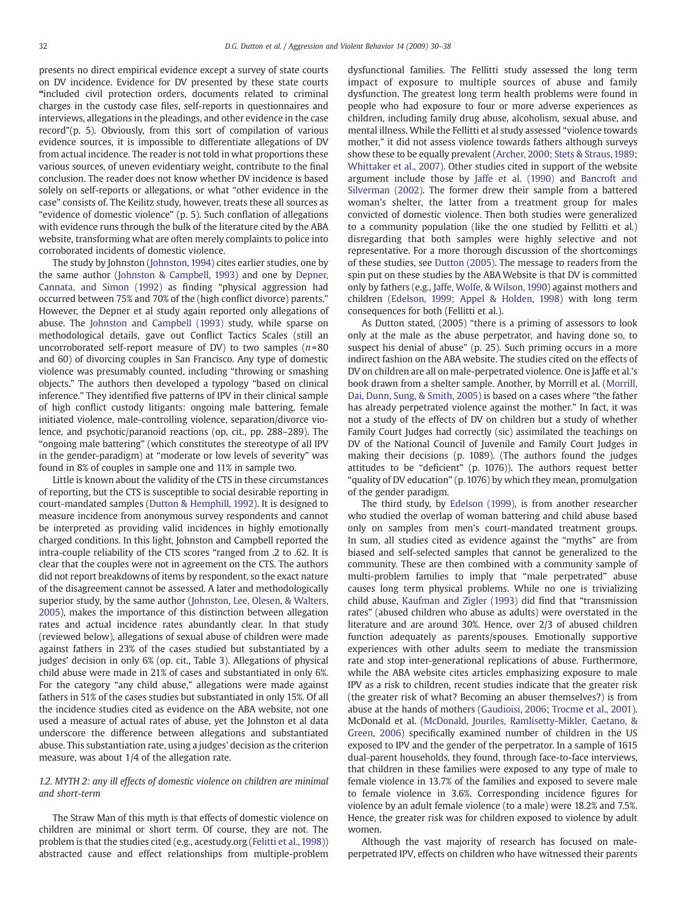presents no direct empirical evidence except a survey of state courts on DV incidence. Evidence for DV presented by these state courts "included civil protection orders, documents related to criminal charges in the custody case files, self-reports in questionnaires and interviews, allegations in the pleadings, and other evidence in the case record"(p. 5). Obviously, from this sort of compilation of various evidence sources, it is impossible to differentiate allegations of DV from actual incidence. The reader is not told in what proportions these various sources, of uneven evidentiary weight, contribute to the final conclusion. The reader does not know whether DV incidence is based solely on self-reports or allegations, or what "other evidence in the case" consists of. The Keilitz study, however, treats these all sources as "evidence of domestic violence" (p. 5). Such conflation of allegations with evidence runs through the bulk of the literature cited by the ABA website, transforming what are often merely complaints to police into corroborated incidents of domestic violence.

The study by Johnston [\(Johnston, 1994](#page-8-0)) cites earlier studies, one by the same author [\(Johnston & Campbell, 1993\)](#page-8-0) and one by [Depner,](#page-7-0) [Cannata, and Simon \(1992\)](#page-7-0) as finding "physical aggression had occurred between 75% and 70% of the (high conflict divorce) parents." However, the Depner et al study again reported only allegations of abuse. The [Johnston and Campbell \(1993\)](#page-8-0) study, while sparse on methodological details, gave out Conflict Tactics Scales (still an uncorroborated self-report measure of DV) to two samples  $(n=80)$ and 60) of divorcing couples in San Francisco. Any type of domestic violence was presumably counted, including "throwing or smashing objects." The authors then developed a typology "based on clinical inference." They identified five patterns of IPV in their clinical sample of high conflict custody litigants: ongoing male battering, female initiated violence, male-controlling violence, separation/divorce violence, and psychotic/paranoid reactions (op, cit., pp. 288–289). The "ongoing male battering" (which constitutes the stereotype of all IPV in the gender-paradigm) at "moderate or low levels of severity" was found in 8% of couples in sample one and 11% in sample two.

Little is known about the validity of the CTS in these circumstances of reporting, but the CTS is susceptible to social desirable reporting in court-mandated samples ([Dutton & Hemphill, 1992\)](#page-7-0). It is designed to measure incidence from anonymous survey respondents and cannot be interpreted as providing valid incidences in highly emotionally charged conditions. In this light, Johnston and Campbell reported the intra-couple reliability of the CTS scores "ranged from .2 to .62. It is clear that the couples were not in agreement on the CTS. The authors did not report breakdowns of items by respondent, so the exact nature of the disagreement cannot be assessed. A later and methodologically superior study, by the same author [\(Johnston, Lee, Olesen, & Walters,](#page-8-0) [2005](#page-8-0)), makes the importance of this distinction between allegation rates and actual incidence rates abundantly clear. In that study (reviewed below), allegations of sexual abuse of children were made against fathers in 23% of the cases studied but substantiated by a judges' decision in only 6% (op. cit., Table 3). Allegations of physical child abuse were made in 21% of cases and substantiated in only 6%. For the category "any child abuse," allegations were made against fathers in 51% of the cases studies but substantiated in only 15%. Of all the incidence studies cited as evidence on the ABA website, not one used a measure of actual rates of abuse, yet the Johnston et al data underscore the difference between allegations and substantiated abuse. This substantiation rate, using a judges' decision as the criterion measure, was about 1/4 of the allegation rate.

# 1.2. MYTH 2: any ill effects of domestic violence on children are minimal and short-term

The Straw Man of this myth is that effects of domestic violence on children are minimal or short term. Of course, they are not. The problem is that the studies cited (e.g., acestudy.org ([Felitti et al., 1998\)](#page-7-0)) abstracted cause and effect relationships from multiple-problem dysfunctional families. The Fellitti study assessed the long term impact of exposure to multiple sources of abuse and family dysfunction. The greatest long term health problems were found in people who had exposure to four or more adverse experiences as children, including family drug abuse, alcoholism, sexual abuse, and mental illness. While the Fellitti et al study assessed "violence towards mother," it did not assess violence towards fathers although surveys show these to be equally prevalent [\(Archer, 2000; Stets & Straus, 1989](#page-7-0); [Whittaker et al., 2007\)](#page-8-0). Other studies cited in support of the website argument include those by [Jaffe et al. \(1990\)](#page-8-0) and [Bancroft and](#page-7-0) [Silverman \(2002\)](#page-7-0). The former drew their sample from a battered woman's shelter, the latter from a treatment group for males convicted of domestic violence. Then both studies were generalized to a community population (like the one studied by Fellitti et al.) disregarding that both samples were highly selective and not representative. For a more thorough discussion of the shortcomings of these studies, see [Dutton \(2005\)](#page-7-0). The message to readers from the spin put on these studies by the ABA Website is that DV is committed only by fathers (e.g., [Jaffe, Wolfe, & Wilson, 1990](#page-8-0)) against mothers and children [\(Edelson, 1999; Appel & Holden, 1998](#page-7-0)) with long term consequences for both (Fellitti et al.).

As Dutton stated, (2005) "there is a priming of assessors to look only at the male as the abuse perpetrator, and having done so, to suspect his denial of abuse" (p. 25). Such priming occurs in a more indirect fashion on the ABA website. The studies cited on the effects of DV on children are all on male-perpetrated violence. One is Jaffe et al.'s book drawn from a shelter sample. Another, by Morrill et al. ([Morrill,](#page-8-0) [Dai, Dunn, Sung, & Smith, 2005\)](#page-8-0) is based on a cases where "the father has already perpetrated violence against the mother." In fact, it was not a study of the effects of DV on children but a study of whether Family Court Judges had correctly (sic) assimilated the teachings on DV of the National Council of Juvenile and Family Court Judges in making their decisions (p. 1089). (The authors found the judges attitudes to be "deficient" (p. 1076)). The authors request better "quality of DV education" (p. 1076) by which they mean, promulgation of the gender paradigm.

The third study, by [Edelson \(1999\)](#page-7-0), is from another researcher who studied the overlap of woman battering and child abuse based only on samples from men's court-mandated treatment groups. In sum, all studies cited as evidence against the "myths" are from biased and self-selected samples that cannot be generalized to the community. These are then combined with a community sample of multi-problem families to imply that "male perpetrated" abuse causes long term physical problems. While no one is trivializing child abuse, [Kaufman and Zigler \(1993\)](#page-8-0) did find that "transmission rates" (abused children who abuse as adults) were overstated in the literature and are around 30%. Hence, over 2/3 of abused children function adequately as parents/spouses. Emotionally supportive experiences with other adults seem to mediate the transmission rate and stop inter-generational replications of abuse. Furthermore, while the ABA website cites articles emphasizing exposure to male IPV as a risk to children, recent studies indicate that the greater risk (the greater risk of what? Becoming an abuser themselves?) is from abuse at the hands of mothers [\(Gaudioisi, 2006; Trocme et al., 2001](#page-7-0)). McDonald et al. ([McDonald, Jouriles, Ramlisetty-Mikler, Caetano, &](#page-8-0) [Green, 2006\)](#page-8-0) specifically examined number of children in the US exposed to IPV and the gender of the perpetrator. In a sample of 1615 dual-parent households, they found, through face-to-face interviews, that children in these families were exposed to any type of male to female violence in 13.7% of the families and exposed to severe male to female violence in 3.6%. Corresponding incidence figures for violence by an adult female violence (to a male) were 18.2% and 7.5%. Hence, the greater risk was for children exposed to violence by adult women.

Although the vast majority of research has focused on maleperpetrated IPV, effects on children who have witnessed their parents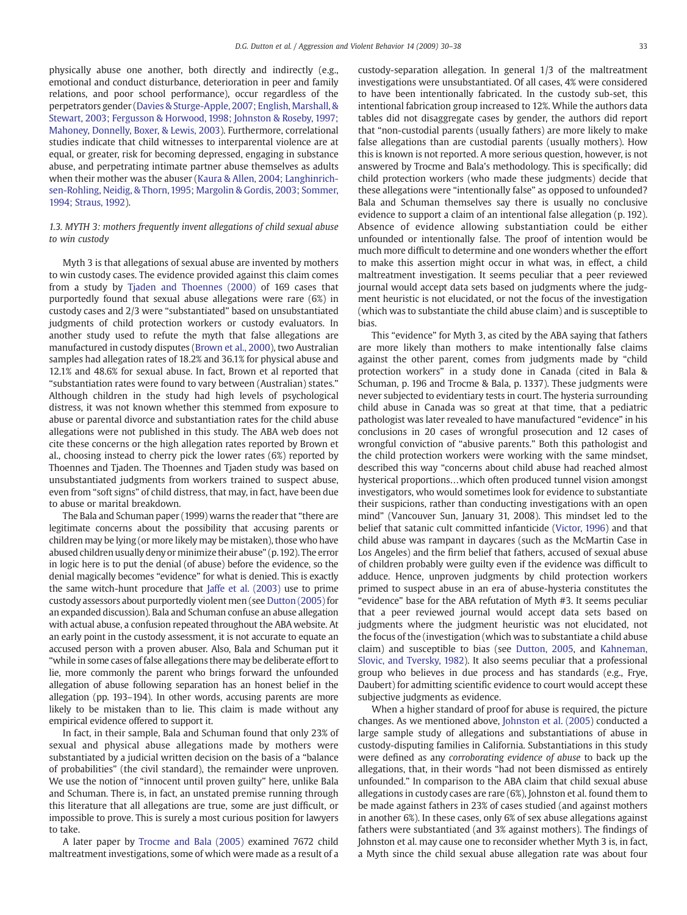physically abuse one another, both directly and indirectly (e.g., emotional and conduct disturbance, deterioration in peer and family relations, and poor school performance), occur regardless of the perpetrators gender [\(Davies & Sturge-Apple, 2007; English, Marshall, &](#page-7-0) [Stewart, 2003; Fergusson & Horwood, 1998; Johnston & Roseby, 1997;](#page-7-0) [Mahoney, Donnelly, Boxer, & Lewis, 2003\)](#page-7-0). Furthermore, correlational studies indicate that child witnesses to interparental violence are at equal, or greater, risk for becoming depressed, engaging in substance abuse, and perpetrating intimate partner abuse themselves as adults when their mother was the abuser [\(Kaura & Allen, 2004; Langhinrich](#page-8-0)[sen-Rohling, Neidig, & Thorn, 1995; Margolin & Gordis, 2003; Sommer,](#page-8-0) [1994; Straus, 1992\)](#page-8-0).

# 1.3. MYTH 3: mothers frequently invent allegations of child sexual abuse to win custody

Myth 3 is that allegations of sexual abuse are invented by mothers to win custody cases. The evidence provided against this claim comes from a study by [Tjaden and Thoennes \(2000\)](#page-8-0) of 169 cases that purportedly found that sexual abuse allegations were rare (6%) in custody cases and 2/3 were "substantiated" based on unsubstantiated judgments of child protection workers or custody evaluators. In another study used to refute the myth that false allegations are manufactured in custody disputes [\(Brown et al., 2000](#page-7-0)), two Australian samples had allegation rates of 18.2% and 36.1% for physical abuse and 12.1% and 48.6% for sexual abuse. In fact, Brown et al reported that "substantiation rates were found to vary between (Australian) states." Although children in the study had high levels of psychological distress, it was not known whether this stemmed from exposure to abuse or parental divorce and substantiation rates for the child abuse allegations were not published in this study. The ABA web does not cite these concerns or the high allegation rates reported by Brown et al., choosing instead to cherry pick the lower rates (6%) reported by Thoennes and Tjaden. The Thoennes and Tjaden study was based on unsubstantiated judgments from workers trained to suspect abuse, even from "soft signs" of child distress, that may, in fact, have been due to abuse or marital breakdown.

The Bala and Schuman paper (1999) warns the reader that "there are legitimate concerns about the possibility that accusing parents or children may be lying (or more likely may be mistaken), those who have abused children usually deny or minimize their abuse" (p.192). The error in logic here is to put the denial (of abuse) before the evidence, so the denial magically becomes "evidence" for what is denied. This is exactly the same witch-hunt procedure that [Jaffe et al. \(2003\)](#page-8-0) use to prime custody assessors about purportedly violent men (see [Dutton \(2005\)](#page-7-0) for an expanded discussion). Bala and Schuman confuse an abuse allegation with actual abuse, a confusion repeated throughout the ABA website. At an early point in the custody assessment, it is not accurate to equate an accused person with a proven abuser. Also, Bala and Schuman put it "while in some cases of false allegations there may be deliberate effort to lie, more commonly the parent who brings forward the unfounded allegation of abuse following separation has an honest belief in the allegation (pp. 193–194). In other words, accusing parents are more likely to be mistaken than to lie. This claim is made without any empirical evidence offered to support it.

In fact, in their sample, Bala and Schuman found that only 23% of sexual and physical abuse allegations made by mothers were substantiated by a judicial written decision on the basis of a "balance of probabilities" (the civil standard), the remainder were unproven. We use the notion of "innocent until proven guilty" here, unlike Bala and Schuman. There is, in fact, an unstated premise running through this literature that all allegations are true, some are just difficult, or impossible to prove. This is surely a most curious position for lawyers to take.

A later paper by [Trocme and Bala \(2005\)](#page-8-0) examined 7672 child maltreatment investigations, some of which were made as a result of a custody-separation allegation. In general 1/3 of the maltreatment investigations were unsubstantiated. Of all cases, 4% were considered to have been intentionally fabricated. In the custody sub-set, this intentional fabrication group increased to 12%. While the authors data tables did not disaggregate cases by gender, the authors did report that "non-custodial parents (usually fathers) are more likely to make false allegations than are custodial parents (usually mothers). How this is known is not reported. A more serious question, however, is not answered by Trocme and Bala's methodology. This is specifically; did child protection workers (who made these judgments) decide that these allegations were "intentionally false" as opposed to unfounded? Bala and Schuman themselves say there is usually no conclusive evidence to support a claim of an intentional false allegation (p. 192). Absence of evidence allowing substantiation could be either unfounded or intentionally false. The proof of intention would be much more difficult to determine and one wonders whether the effort to make this assertion might occur in what was, in effect, a child maltreatment investigation. It seems peculiar that a peer reviewed journal would accept data sets based on judgments where the judgment heuristic is not elucidated, or not the focus of the investigation (which was to substantiate the child abuse claim) and is susceptible to bias.

This "evidence" for Myth 3, as cited by the ABA saying that fathers are more likely than mothers to make intentionally false claims against the other parent, comes from judgments made by "child protection workers" in a study done in Canada (cited in Bala & Schuman, p. 196 and Trocme & Bala, p. 1337). These judgments were never subjected to evidentiary tests in court. The hysteria surrounding child abuse in Canada was so great at that time, that a pediatric pathologist was later revealed to have manufactured "evidence" in his conclusions in 20 cases of wrongful prosecution and 12 cases of wrongful conviction of "abusive parents." Both this pathologist and the child protection workers were working with the same mindset, described this way "concerns about child abuse had reached almost hysterical proportions…which often produced tunnel vision amongst investigators, who would sometimes look for evidence to substantiate their suspicions, rather than conducting investigations with an open mind" (Vancouver Sun, January 31, 2008). This mindset led to the belief that satanic cult committed infanticide ([Victor, 1996\)](#page-8-0) and that child abuse was rampant in daycares (such as the McMartin Case in Los Angeles) and the firm belief that fathers, accused of sexual abuse of children probably were guilty even if the evidence was difficult to adduce. Hence, unproven judgments by child protection workers primed to suspect abuse in an era of abuse-hysteria constitutes the "evidence" base for the ABA refutation of Myth #3. It seems peculiar that a peer reviewed journal would accept data sets based on judgments where the judgment heuristic was not elucidated, not the focus of the (investigation (which was to substantiate a child abuse claim) and susceptible to bias (see [Dutton, 2005](#page-7-0), and [Kahneman,](#page-8-0) [Slovic, and Tversky, 1982\)](#page-8-0). It also seems peculiar that a professional group who believes in due process and has standards (e.g., Frye, Daubert) for admitting scientific evidence to court would accept these subjective judgments as evidence.

When a higher standard of proof for abuse is required, the picture changes. As we mentioned above, [Johnston et al. \(2005\)](#page-8-0) conducted a large sample study of allegations and substantiations of abuse in custody-disputing families in California. Substantiations in this study were defined as any corroborating evidence of abuse to back up the allegations, that, in their words "had not been dismissed as entirely unfounded." In comparison to the ABA claim that child sexual abuse allegations in custody cases are rare (6%), Johnston et al. found them to be made against fathers in 23% of cases studied (and against mothers in another 6%). In these cases, only 6% of sex abuse allegations against fathers were substantiated (and 3% against mothers). The findings of Johnston et al. may cause one to reconsider whether Myth 3 is, in fact, a Myth since the child sexual abuse allegation rate was about four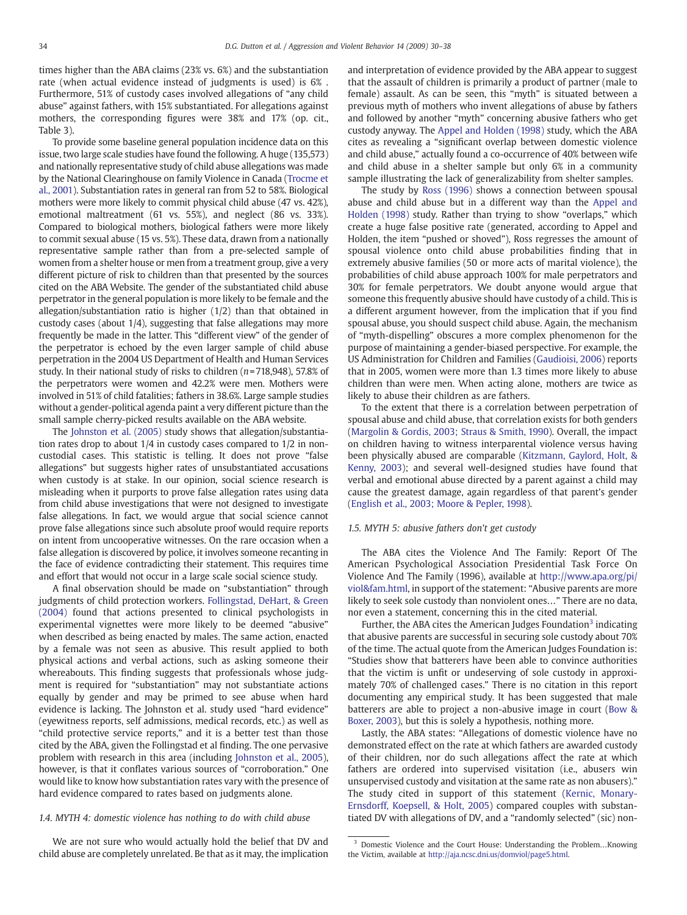times higher than the ABA claims (23% vs. 6%) and the substantiation rate (when actual evidence instead of judgments is used) is 6% . Furthermore, 51% of custody cases involved allegations of "any child abuse" against fathers, with 15% substantiated. For allegations against mothers, the corresponding figures were 38% and 17% (op. cit., Table 3).

To provide some baseline general population incidence data on this issue, two large scale studies have found the following. A huge (135,573) and nationally representative study of child abuse allegations was made by the National Clearinghouse on family Violence in Canada [\(Trocme et](#page-8-0) [al., 2001](#page-8-0)). Substantiation rates in general ran from 52 to 58%. Biological mothers were more likely to commit physical child abuse (47 vs. 42%), emotional maltreatment (61 vs. 55%), and neglect (86 vs. 33%). Compared to biological mothers, biological fathers were more likely to commit sexual abuse (15 vs. 5%). These data, drawn from a nationally representative sample rather than from a pre-selected sample of women from a shelter house or men from a treatment group, give a very different picture of risk to children than that presented by the sources cited on the ABA Website. The gender of the substantiated child abuse perpetrator in the general population is more likely to be female and the allegation/substantiation ratio is higher (1/2) than that obtained in custody cases (about 1/4), suggesting that false allegations may more frequently be made in the latter. This "different view" of the gender of the perpetrator is echoed by the even larger sample of child abuse perpetration in the 2004 US Department of Health and Human Services study. In their national study of risks to children ( $n=718,948$ ), 57.8% of the perpetrators were women and 42.2% were men. Mothers were involved in 51% of child fatalities; fathers in 38.6%. Large sample studies without a gender-political agenda paint a very different picture than the small sample cherry-picked results available on the ABA website.

The [Johnston et al. \(2005\)](#page-8-0) study shows that allegation/substantiation rates drop to about 1/4 in custody cases compared to 1/2 in noncustodial cases. This statistic is telling. It does not prove "false allegations" but suggests higher rates of unsubstantiated accusations when custody is at stake. In our opinion, social science research is misleading when it purports to prove false allegation rates using data from child abuse investigations that were not designed to investigate false allegations. In fact, we would argue that social science cannot prove false allegations since such absolute proof would require reports on intent from uncooperative witnesses. On the rare occasion when a false allegation is discovered by police, it involves someone recanting in the face of evidence contradicting their statement. This requires time and effort that would not occur in a large scale social science study.

A final observation should be made on "substantiation" through judgments of child protection workers. [Follingstad, DeHart, & Green](#page-7-0) [\(2004\)](#page-7-0) found that actions presented to clinical psychologists in experimental vignettes were more likely to be deemed "abusive" when described as being enacted by males. The same action, enacted by a female was not seen as abusive. This result applied to both physical actions and verbal actions, such as asking someone their whereabouts. This finding suggests that professionals whose judgment is required for "substantiation" may not substantiate actions equally by gender and may be primed to see abuse when hard evidence is lacking. The Johnston et al. study used "hard evidence" (eyewitness reports, self admissions, medical records, etc.) as well as "child protective service reports," and it is a better test than those cited by the ABA, given the Follingstad et al finding. The one pervasive problem with research in this area (including [Johnston et al., 2005](#page-8-0)), however, is that it conflates various sources of "corroboration." One would like to know how substantiation rates vary with the presence of hard evidence compared to rates based on judgments alone.

### 1.4. MYTH 4: domestic violence has nothing to do with child abuse

We are not sure who would actually hold the belief that DV and child abuse are completely unrelated. Be that as it may, the implication and interpretation of evidence provided by the ABA appear to suggest that the assault of children is primarily a product of partner (male to female) assault. As can be seen, this "myth" is situated between a previous myth of mothers who invent allegations of abuse by fathers and followed by another "myth" concerning abusive fathers who get custody anyway. The [Appel and Holden \(1998\)](#page-7-0) study, which the ABA cites as revealing a "significant overlap between domestic violence and child abuse," actually found a co-occurrence of 40% between wife and child abuse in a shelter sample but only 6% in a community sample illustrating the lack of generalizability from shelter samples.

The study by [Ross \(1996\)](#page-8-0) shows a connection between spousal abuse and child abuse but in a different way than the [Appel and](#page-7-0) [Holden \(1998\)](#page-7-0) study. Rather than trying to show "overlaps," which create a huge false positive rate (generated, according to Appel and Holden, the item "pushed or shoved"), Ross regresses the amount of spousal violence onto child abuse probabilities finding that in extremely abusive families (50 or more acts of marital violence), the probabilities of child abuse approach 100% for male perpetrators and 30% for female perpetrators. We doubt anyone would argue that someone this frequently abusive should have custody of a child. This is a different argument however, from the implication that if you find spousal abuse, you should suspect child abuse. Again, the mechanism of "myth-dispelling" obscures a more complex phenomenon for the purpose of maintaining a gender-biased perspective. For example, the US Administration for Children and Families [\(Gaudioisi, 2006\)](#page-7-0) reports that in 2005, women were more than 1.3 times more likely to abuse children than were men. When acting alone, mothers are twice as likely to abuse their children as are fathers.

To the extent that there is a correlation between perpetration of spousal abuse and child abuse, that correlation exists for both genders ([Margolin & Gordis, 2003; Straus & Smith, 1990\)](#page-8-0). Overall, the impact on children having to witness interparental violence versus having been physically abused are comparable [\(Kitzmann, Gaylord, Holt, &](#page-8-0) [Kenny, 2003\)](#page-8-0); and several well-designed studies have found that verbal and emotional abuse directed by a parent against a child may cause the greatest damage, again regardless of that parent's gender ([English et al., 2003; Moore & Pepler, 1998\)](#page-7-0).

#### 1.5. MYTH 5: abusive fathers don't get custody

The ABA cites the Violence And The Family: Report Of The American Psychological Association Presidential Task Force On Violence And The Family (1996), available at [http://www.apa.org/pi/](http://www.apa.org/pi/viol&fam.html) [viol&fam.html,](http://www.apa.org/pi/viol&fam.html) in support of the statement: "Abusive parents are more likely to seek sole custody than nonviolent ones…" There are no data, nor even a statement, concerning this in the cited material.

Further, the ABA cites the American Judges Foundation<sup>3</sup> indicating that abusive parents are successful in securing sole custody about 70% of the time. The actual quote from the American Judges Foundation is: "Studies show that batterers have been able to convince authorities that the victim is unfit or undeserving of sole custody in approximately 70% of challenged cases." There is no citation in this report documenting any empirical study. It has been suggested that male batterers are able to project a non-abusive image in court ([Bow &](#page-7-0) [Boxer, 2003\)](#page-7-0), but this is solely a hypothesis, nothing more.

Lastly, the ABA states: "Allegations of domestic violence have no demonstrated effect on the rate at which fathers are awarded custody of their children, nor do such allegations affect the rate at which fathers are ordered into supervised visitation (i.e., abusers win unsupervised custody and visitation at the same rate as non abusers)." The study cited in support of this statement ([Kernic, Monary-](#page-8-0)[Ernsdorff, Koepsell, & Holt, 2005](#page-8-0)) compared couples with substantiated DV with allegations of DV, and a "randomly selected" (sic) non-

<sup>&</sup>lt;sup>3</sup> Domestic Violence and the Court House: Understanding the Problem...Knowing the Victim, available at <http://aja.ncsc.dni.us/domviol/page5.html>.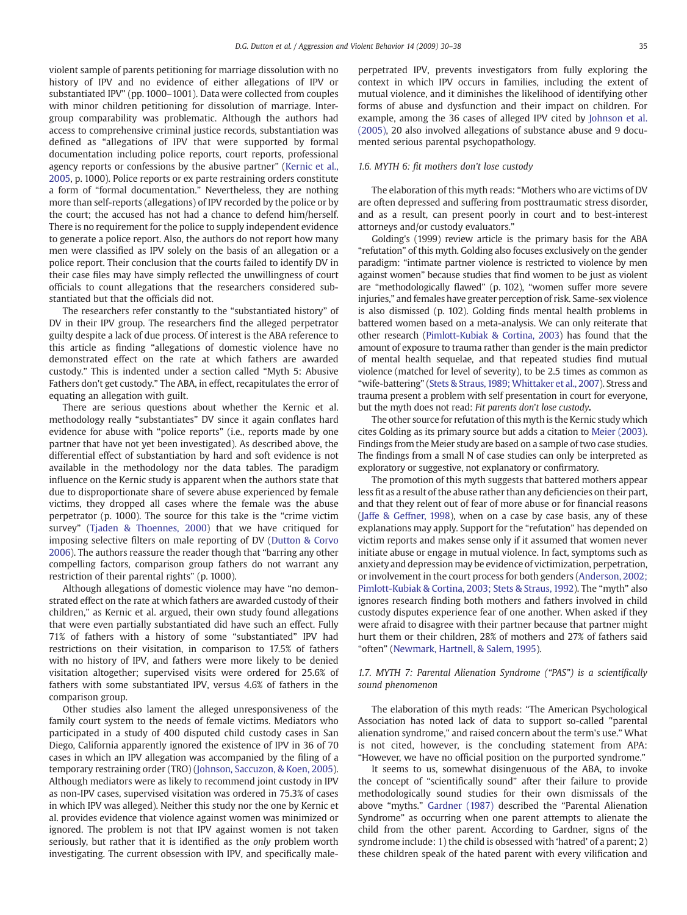violent sample of parents petitioning for marriage dissolution with no history of IPV and no evidence of either allegations of IPV or substantiated IPV" (pp. 1000–1001). Data were collected from couples with minor children petitioning for dissolution of marriage. Intergroup comparability was problematic. Although the authors had access to comprehensive criminal justice records, substantiation was defined as "allegations of IPV that were supported by formal documentation including police reports, court reports, professional agency reports or confessions by the abusive partner" ([Kernic et al.,](#page-8-0) [2005](#page-8-0), p. 1000). Police reports or ex parte restraining orders constitute a form of "formal documentation." Nevertheless, they are nothing more than self-reports (allegations) of IPV recorded by the police or by the court; the accused has not had a chance to defend him/herself. There is no requirement for the police to supply independent evidence to generate a police report. Also, the authors do not report how many men were classified as IPV solely on the basis of an allegation or a police report. Their conclusion that the courts failed to identify DV in their case files may have simply reflected the unwillingness of court officials to count allegations that the researchers considered substantiated but that the officials did not.

The researchers refer constantly to the "substantiated history" of DV in their IPV group. The researchers find the alleged perpetrator guilty despite a lack of due process. Of interest is the ABA reference to this article as finding "allegations of domestic violence have no demonstrated effect on the rate at which fathers are awarded custody." This is indented under a section called "Myth 5: Abusive Fathers don't get custody." The ABA, in effect, recapitulates the error of equating an allegation with guilt.

There are serious questions about whether the Kernic et al. methodology really "substantiates" DV since it again conflates hard evidence for abuse with "police reports" (i.e., reports made by one partner that have not yet been investigated). As described above, the differential effect of substantiation by hard and soft evidence is not available in the methodology nor the data tables. The paradigm influence on the Kernic study is apparent when the authors state that due to disproportionate share of severe abuse experienced by female victims, they dropped all cases where the female was the abuse perpetrator (p. 1000). The source for this take is the "crime victim survey" [\(Tjaden & Thoennes, 2000](#page-8-0)) that we have critiqued for imposing selective filters on male reporting of DV [\(Dutton & Corvo](#page-7-0) [2006](#page-7-0)). The authors reassure the reader though that "barring any other compelling factors, comparison group fathers do not warrant any restriction of their parental rights" (p. 1000).

Although allegations of domestic violence may have "no demonstrated effect on the rate at which fathers are awarded custody of their children," as Kernic et al. argued, their own study found allegations that were even partially substantiated did have such an effect. Fully 71% of fathers with a history of some "substantiated" IPV had restrictions on their visitation, in comparison to 17.5% of fathers with no history of IPV, and fathers were more likely to be denied visitation altogether; supervised visits were ordered for 25.6% of fathers with some substantiated IPV, versus 4.6% of fathers in the comparison group.

Other studies also lament the alleged unresponsiveness of the family court system to the needs of female victims. Mediators who participated in a study of 400 disputed child custody cases in San Diego, California apparently ignored the existence of IPV in 36 of 70 cases in which an IPV allegation was accompanied by the filing of a temporary restraining order (TRO) ([Johnson, Saccuzon, & Koen, 2005\)](#page-8-0). Although mediators were as likely to recommend joint custody in IPV as non-IPV cases, supervised visitation was ordered in 75.3% of cases in which IPV was alleged). Neither this study nor the one by Kernic et al. provides evidence that violence against women was minimized or ignored. The problem is not that IPV against women is not taken seriously, but rather that it is identified as the only problem worth investigating. The current obsession with IPV, and specifically maleperpetrated IPV, prevents investigators from fully exploring the context in which IPV occurs in families, including the extent of mutual violence, and it diminishes the likelihood of identifying other forms of abuse and dysfunction and their impact on children. For example, among the 36 cases of alleged IPV cited by [Johnson et al.](#page-8-0) [\(2005\),](#page-8-0) 20 also involved allegations of substance abuse and 9 documented serious parental psychopathology.

#### 1.6. MYTH 6: fit mothers don't lose custody

The elaboration of this myth reads: "Mothers who are victims of DV are often depressed and suffering from posttraumatic stress disorder, and as a result, can present poorly in court and to best-interest attorneys and/or custody evaluators."

Golding's (1999) review article is the primary basis for the ABA "refutation" of this myth. Golding also focuses exclusively on the gender paradigm: "intimate partner violence is restricted to violence by men against women" because studies that find women to be just as violent are "methodologically flawed" (p. 102), "women suffer more severe injuries," and females have greater perception of risk. Same-sex violence is also dismissed (p. 102). Golding finds mental health problems in battered women based on a meta-analysis. We can only reiterate that other research ([Pimlott-Kubiak & Cortina, 2003](#page-8-0)) has found that the amount of exposure to trauma rather than gender is the main predictor of mental health sequelae, and that repeated studies find mutual violence (matched for level of severity), to be 2.5 times as common as "wife-battering" [\(Stets & Straus, 1989; Whittaker et al., 2007\)](#page-8-0). Stress and trauma present a problem with self presentation in court for everyone, but the myth does not read: Fit parents don't lose custody.

The other source for refutation of this myth is the Kernic study which cites Golding as its primary source but adds a citation to [Meier \(2003\).](#page-8-0) Findings from the Meier study are based on a sample of two case studies. The findings from a small N of case studies can only be interpreted as exploratory or suggestive, not explanatory or confirmatory.

The promotion of this myth suggests that battered mothers appear less fit as a result of the abuse rather than any deficiencies on their part, and that they relent out of fear of more abuse or for financial reasons [\(Jaffe & Geffner, 1998](#page-8-0)), when on a case by case basis, any of these explanations may apply. Support for the "refutation" has depended on victim reports and makes sense only if it assumed that women never initiate abuse or engage in mutual violence. In fact, symptoms such as anxiety and depression may be evidence of victimization, perpetration, or involvement in the court process for both genders [\(Anderson, 2002;](#page-7-0) [Pimlott-Kubiak & Cortina, 2003; Stets & Straus, 1992\)](#page-7-0). The "myth" also ignores research finding both mothers and fathers involved in child custody disputes experience fear of one another. When asked if they were afraid to disagree with their partner because that partner might hurt them or their children, 28% of mothers and 27% of fathers said "often" [\(Newmark, Hartnell, & Salem, 1995\)](#page-8-0).

# 1.7. MYTH 7: Parental Alienation Syndrome ("PAS") is a scientifically sound phenomenon

The elaboration of this myth reads: "The American Psychological Association has noted lack of data to support so-called "parental alienation syndrome," and raised concern about the term's use." What is not cited, however, is the concluding statement from APA: "However, we have no official position on the purported syndrome."

It seems to us, somewhat disingenuous of the ABA, to invoke the concept of "scientifically sound" after their failure to provide methodologically sound studies for their own dismissals of the above "myths." [Gardner \(1987\)](#page-7-0) described the "Parental Alienation Syndrome" as occurring when one parent attempts to alienate the child from the other parent. According to Gardner, signs of the syndrome include: 1) the child is obsessed with 'hatred' of a parent; 2) these children speak of the hated parent with every vilification and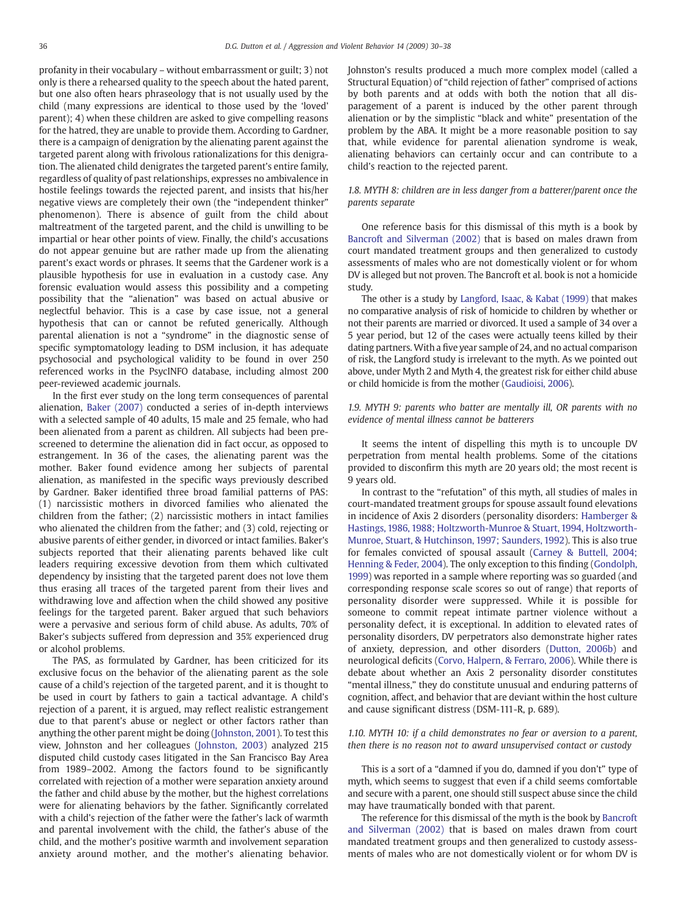profanity in their vocabulary – without embarrassment or guilt; 3) not only is there a rehearsed quality to the speech about the hated parent, but one also often hears phraseology that is not usually used by the child (many expressions are identical to those used by the 'loved' parent); 4) when these children are asked to give compelling reasons for the hatred, they are unable to provide them. According to Gardner, there is a campaign of denigration by the alienating parent against the targeted parent along with frivolous rationalizations for this denigration. The alienated child denigrates the targeted parent's entire family, regardless of quality of past relationships, expresses no ambivalence in hostile feelings towards the rejected parent, and insists that his/her negative views are completely their own (the "independent thinker" phenomenon). There is absence of guilt from the child about maltreatment of the targeted parent, and the child is unwilling to be impartial or hear other points of view. Finally, the child's accusations do not appear genuine but are rather made up from the alienating parent's exact words or phrases. It seems that the Gardener work is a plausible hypothesis for use in evaluation in a custody case. Any forensic evaluation would assess this possibility and a competing possibility that the "alienation" was based on actual abusive or neglectful behavior. This is a case by case issue, not a general hypothesis that can or cannot be refuted generically. Although parental alienation is not a "syndrome" in the diagnostic sense of specific symptomatology leading to DSM inclusion, it has adequate psychosocial and psychological validity to be found in over 250 referenced works in the PsycINFO database, including almost 200 peer-reviewed academic journals.

In the first ever study on the long term consequences of parental alienation, [Baker \(2007\)](#page-7-0) conducted a series of in-depth interviews with a selected sample of 40 adults, 15 male and 25 female, who had been alienated from a parent as children. All subjects had been prescreened to determine the alienation did in fact occur, as opposed to estrangement. In 36 of the cases, the alienating parent was the mother. Baker found evidence among her subjects of parental alienation, as manifested in the specific ways previously described by Gardner. Baker identified three broad familial patterns of PAS: (1) narcissistic mothers in divorced families who alienated the children from the father; (2) narcissistic mothers in intact families who alienated the children from the father; and (3) cold, rejecting or abusive parents of either gender, in divorced or intact families. Baker's subjects reported that their alienating parents behaved like cult leaders requiring excessive devotion from them which cultivated dependency by insisting that the targeted parent does not love them thus erasing all traces of the targeted parent from their lives and withdrawing love and affection when the child showed any positive feelings for the targeted parent. Baker argued that such behaviors were a pervasive and serious form of child abuse. As adults, 70% of Baker's subjects suffered from depression and 35% experienced drug or alcohol problems.

The PAS, as formulated by Gardner, has been criticized for its exclusive focus on the behavior of the alienating parent as the sole cause of a child's rejection of the targeted parent, and it is thought to be used in court by fathers to gain a tactical advantage. A child's rejection of a parent, it is argued, may reflect realistic estrangement due to that parent's abuse or neglect or other factors rather than anything the other parent might be doing [\(Johnston, 2001\)](#page-8-0). To test this view, Johnston and her colleagues ([Johnston, 2003](#page-8-0)) analyzed 215 disputed child custody cases litigated in the San Francisco Bay Area from 1989–2002. Among the factors found to be significantly correlated with rejection of a mother were separation anxiety around the father and child abuse by the mother, but the highest correlations were for alienating behaviors by the father. Significantly correlated with a child's rejection of the father were the father's lack of warmth and parental involvement with the child, the father's abuse of the child, and the mother's positive warmth and involvement separation anxiety around mother, and the mother's alienating behavior. Johnston's results produced a much more complex model (called a Structural Equation) of "child rejection of father" comprised of actions by both parents and at odds with both the notion that all disparagement of a parent is induced by the other parent through alienation or by the simplistic "black and white" presentation of the problem by the ABA. It might be a more reasonable position to say that, while evidence for parental alienation syndrome is weak, alienating behaviors can certainly occur and can contribute to a child's reaction to the rejected parent.

#### 1.8. MYTH 8: children are in less danger from a batterer/parent once the parents separate

One reference basis for this dismissal of this myth is a book by [Bancroft and Silverman \(2002\)](#page-7-0) that is based on males drawn from court mandated treatment groups and then generalized to custody assessments of males who are not domestically violent or for whom DV is alleged but not proven. The Bancroft et al. book is not a homicide study.

The other is a study by [Langford, Isaac, & Kabat \(1999\)](#page-8-0) that makes no comparative analysis of risk of homicide to children by whether or not their parents are married or divorced. It used a sample of 34 over a 5 year period, but 12 of the cases were actually teens killed by their dating partners. With a five year sample of 24, and no actual comparison of risk, the Langford study is irrelevant to the myth. As we pointed out above, under Myth 2 and Myth 4, the greatest risk for either child abuse or child homicide is from the mother [\(Gaudioisi, 2006](#page-7-0)).

# 1.9. MYTH 9: parents who batter are mentally ill, OR parents with no evidence of mental illness cannot be batterers

It seems the intent of dispelling this myth is to uncouple DV perpetration from mental health problems. Some of the citations provided to disconfirm this myth are 20 years old; the most recent is 9 years old.

In contrast to the "refutation" of this myth, all studies of males in court-mandated treatment groups for spouse assault found elevations in incidence of Axis 2 disorders (personality disorders: [Hamberger &](#page-7-0) [Hastings, 1986, 1988; Holtzworth-Munroe & Stuart, 1994, Holtzworth-](#page-7-0)[Munroe, Stuart, & Hutchinson, 1997; Saunders, 1992\)](#page-7-0). This is also true for females convicted of spousal assault [\(Carney & Buttell, 2004;](#page-7-0) [Henning & Feder, 2004\)](#page-7-0). The only exception to this finding [\(Gondolph,](#page-7-0) [1999](#page-7-0)) was reported in a sample where reporting was so guarded (and corresponding response scale scores so out of range) that reports of personality disorder were suppressed. While it is possible for someone to commit repeat intimate partner violence without a personality defect, it is exceptional. In addition to elevated rates of personality disorders, DV perpetrators also demonstrate higher rates of anxiety, depression, and other disorders ([Dutton, 2006b](#page-7-0)) and neurological deficits ([Corvo, Halpern, & Ferraro, 2006\)](#page-7-0). While there is debate about whether an Axis 2 personality disorder constitutes "mental illness," they do constitute unusual and enduring patterns of cognition, affect, and behavior that are deviant within the host culture and cause significant distress (DSM-111-R, p. 689).

# 1.10. MYTH 10: if a child demonstrates no fear or aversion to a parent, then there is no reason not to award unsupervised contact or custody

This is a sort of a "damned if you do, damned if you don't" type of myth, which seems to suggest that even if a child seems comfortable and secure with a parent, one should still suspect abuse since the child may have traumatically bonded with that parent.

The reference for this dismissal of the myth is the book by [Bancroft](#page-7-0) [and Silverman \(2002\)](#page-7-0) that is based on males drawn from court mandated treatment groups and then generalized to custody assessments of males who are not domestically violent or for whom DV is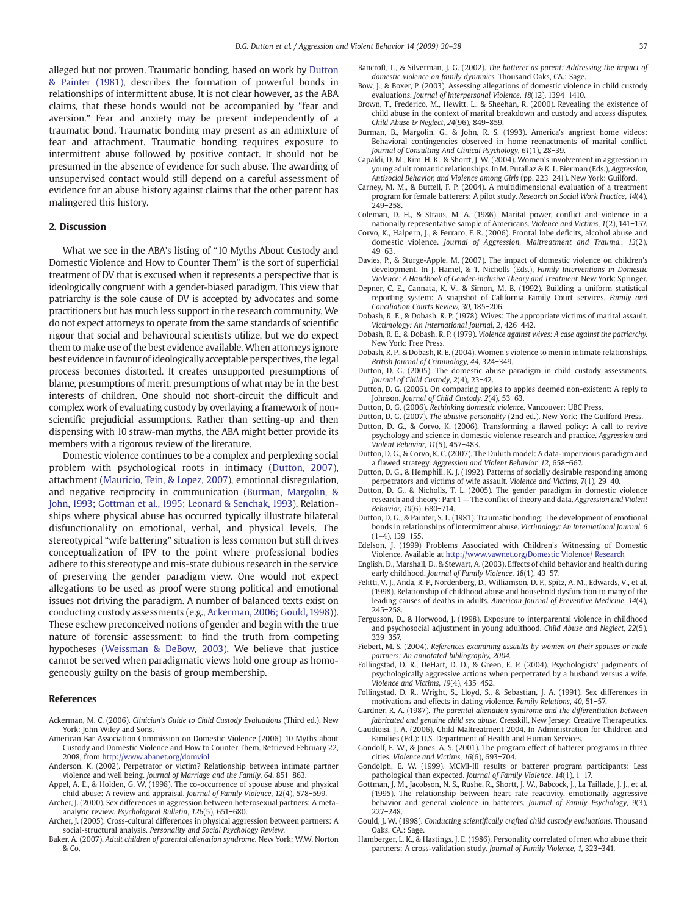<span id="page-7-0"></span>alleged but not proven. Traumatic bonding, based on work by Dutton & Painter (1981), describes the formation of powerful bonds in relationships of intermittent abuse. It is not clear however, as the ABA claims, that these bonds would not be accompanied by "fear and aversion." Fear and anxiety may be present independently of a traumatic bond. Traumatic bonding may present as an admixture of fear and attachment. Traumatic bonding requires exposure to intermittent abuse followed by positive contact. It should not be presumed in the absence of evidence for such abuse. The awarding of unsupervised contact would still depend on a careful assessment of evidence for an abuse history against claims that the other parent has malingered this history.

# 2. Discussion

What we see in the ABA's listing of "10 Myths About Custody and Domestic Violence and How to Counter Them" is the sort of superficial treatment of DV that is excused when it represents a perspective that is ideologically congruent with a gender-biased paradigm. This view that patriarchy is the sole cause of DV is accepted by advocates and some practitioners but has much less support in the research community. We do not expect attorneys to operate from the same standards of scientific rigour that social and behavioural scientists utilize, but we do expect them to make use of the best evidence available. When attorneys ignore best evidence in favour of ideologically acceptable perspectives, the legal process becomes distorted. It creates unsupported presumptions of blame, presumptions of merit, presumptions of what may be in the best interests of children. One should not short-circuit the difficult and complex work of evaluating custody by overlaying a framework of nonscientific prejudicial assumptions. Rather than setting-up and then dispensing with 10 straw-man myths, the ABA might better provide its members with a rigorous review of the literature.

Domestic violence continues to be a complex and perplexing social problem with psychological roots in intimacy (Dutton, 2007), attachment ([Mauricio, Tein, & Lopez, 2007\)](#page-8-0), emotional disregulation, and negative reciprocity in communication (Burman, Margolin, & John, 1993; Gottman et al., 1995; Leonard & Senchak, 1993). Relationships where physical abuse has occurred typically illustrate bilateral disfunctionality on emotional, verbal, and physical levels. The stereotypical "wife battering" situation is less common but still drives conceptualization of IPV to the point where professional bodies adhere to this stereotype and mis-state dubious research in the service of preserving the gender paradigm view. One would not expect allegations to be used as proof were strong political and emotional issues not driving the paradigm. A number of balanced texts exist on conducting custody assessments (e.g., Ackerman, 2006; Gould, 1998)). These eschew preconceived notions of gender and begin with the true nature of forensic assessment: to find the truth from competing hypotheses [\(Weissman & DeBow, 2003\)](#page-8-0). We believe that justice cannot be served when paradigmatic views hold one group as homogeneously guilty on the basis of group membership.

#### References

- Ackerman, M. C. (2006). Clinician's Guide to Child Custody Evaluations (Third ed.). New York: John Wiley and Sons.
- American Bar Association Commission on Domestic Violence (2006). 10 Myths about Custody and Domestic Violence and How to Counter Them. Retrieved February 22, 2008, from <http://www.abanet.org/domviol>
- Anderson, K. (2002). Perpetrator or victim? Relationship between intimate partner violence and well being. Journal of Marriage and the Family, 64, 851−863.
- Appel, A. E., & Holden, G. W. (1998). The co-occurrence of spouse abuse and physical child abuse: A review and appraisal. Journal of Family Violence, 12(4), 578−599.
- Archer, J. (2000). Sex differences in aggression between heterosexual partners: A metaanalytic review. Psychological Bulletin, 126(5), 651−680.
- Archer, J. (2005). Cross-cultural differences in physical aggression between partners: A social-structural analysis. Personality and Social Psychology Review.
- Baker, A. (2007). Adult children of parental alienation syndrome. New York: W.W. Norton & Co.
- Bancroft, L., & Silverman, J. G. (2002). The batterer as parent: Addressing the impact of domestic violence on family dynamics. Thousand Oaks, CA.: Sage.
- Bow, J., & Boxer, P. (2003). Assessing allegations of domestic violence in child custody evaluations. Journal of Interpersonal Violence, 18(12), 1394−1410.
- Brown, T., Frederico, M., Hewitt, L., & Sheehan, R. (2000). Revealing the existence of child abuse in the context of marital breakdown and custody and access disputes. Child Abuse & Neglect, 24(96), 849−859.
- Burman, B., Margolin, G., & John, R. S. (1993). America's angriest home videos: Behavioral contingencies observed in home reenactments of marital conflict. Journal of Consulting And Clinical Psychology, 61(1), 28−39.
- Capaldi, D. M., Kim, H. K., & Shortt, J. W. (2004). Women's involvement in aggression in young adult romantic relationships. In M. Putallaz & K. L. Bierman (Eds.), Aggression, Antisocial Behavior, and Violence among Girls (pp. 223−241). New York: Guilford.
- Carney, M. M., & Buttell, F. P. (2004). A multidimensional evaluation of a treatment program for female batterers: A pilot study. Research on Social Work Practice, 14(4), 249−258.
- Coleman, D. H., & Straus, M. A. (1986). Marital power, conflict and violence in a nationally representative sample of Americans. *Violence and Victims, 1(2)*, 141–157.
- Corvo, K., Halpern, J., & Ferraro, F. R. (2006). Frontal lobe deficits, alcohol abuse and domestic violence. Journal of Aggression, Maltreatment and Trauma., 13(2), 49−63.
- Davies, P., & Sturge-Apple, M. (2007). The impact of domestic violence on children's development. In J. Hamel, & T. Nicholls (Eds.), Family Interventions in Domestic Violence: A Handbook of Gender-inclusive Theory and Treatment. New York: Springer.
- Depner, C. E., Cannata, K. V., & Simon, M. B. (1992). Building a uniform statistical reporting system: A snapshot of California Family Court services. Family and Conciliation Courts Review, 30, 185−206.
- Dobash, R. E., & Dobash, R. P. (1978). Wives: The appropriate victims of marital assault. Victimology: An International Journal, 2, 426−442.
- Dobash, R. E., & Dobash, R. P. (1979). Violence against wives: A case against the patriarchy. New York: Free Press.
- Dobash, R. P., & Dobash, R. E. (2004). Women's violence to men in intimate relationships. British Journal of Criminology, 44, 324−349.
- Dutton, D. G. (2005). The domestic abuse paradigm in child custody assessments. Journal of Child Custody, 2(4), 23−42.
- Dutton, D. G. (2006). On comparing apples to apples deemed non-existent: A reply to Johnson. Journal of Child Custody, 2(4), 53−63.
- Dutton, D. G. (2006). Rethinking domestic violence. Vancouver: UBC Press.

Dutton, D. G. (2007). The abusive personality (2nd ed.). New York: The Guilford Press.

- Dutton, D. G., & Corvo, K. (2006). Transforming a flawed policy: A call to revive psychology and science in domestic violence research and practice. Aggression and Violent Behavior, 11(5), 457−483.
- Dutton, D. G., & Corvo, K. C. (2007). The Duluth model: A data-impervious paradigm and a flawed strategy. Aggression and Violent Behavior, 12, 658−667.
- Dutton, D. G., & Hemphill, K. J. (1992). Patterns of socially desirable responding among perpetrators and victims of wife assault. Violence and Victims, 7(1), 29−40.
- Dutton, D. G., & Nicholls, T. L. (2005). The gender paradigm in domestic violence research and theory: Part 1 — The conflict of theory and data. Aggression and Violent Behavior, 10(6), 680−714.
- Dutton, D. G., & Painter, S. L. (1981). Traumatic bonding: The development of emotional bonds in relationships of intermittent abuse. Victimology: An International Journal, 6 (1–4), 139−155.
- Edelson, J. (1999) Problems Associated with Children's Witnessing of Domestic Violence. Available at [http://www.vawnet.org/Domestic Violence/ Research](http://www.vawnet.org/Domestic%20Violence/%20Research)
- English, D., Marshall, D., & Stewart, A. (2003). Effects of child behavior and health during early childhood. Journal of Family Violence, 18(1), 43−57.
- Felitti, V. J., Anda, R. F., Nordenberg, D., Williamson, D. F., Spitz, A. M., Edwards, V., et al. (1998). Relationship of childhood abuse and household dysfunction to many of the leading causes of deaths in adults. American Journal of Preventive Medicine, 14(4), 245−258.
- Fergusson, D., & Horwood, J. (1998). Exposure to interparental violence in childhood and psychosocial adjustment in young adulthood. Child Abuse and Neglect, 22(5), 339−357.
- Fiebert, M. S. (2004). References examining assaults by women on their spouses or male partners: An annotated bibliography, 2004.
- Follingstad, D. R., DeHart, D. D., & Green, E. P. (2004). Psychologists' judgments of psychologically aggressive actions when perpetrated by a husband versus a wife. Violence and Victims, 19(4), 435−452.
- Follingstad, D. R., Wright, S., Lloyd, S., & Sebastian, J. A. (1991). Sex differences in motivations and effects in dating violence. Family Relations, 40, 51−57.
- Gardner, R. A. (1987). The parental alienation syndrome and the differentiation between fabricated and genuine child sex abuse. Cresskill, New Jersey: Creative Therapeutics.
- Gaudioisi, J. A. (2006). Child Maltreatment 2004. In Administration for Children and Families (Ed.): U.S. Department of Health and Human Services.
- Gondolf, E. W., & Jones, A. S. (2001). The program effect of batterer programs in three cities. Violence and Victims, 16(6), 693−704.
- Gondolph, E. W. (1999). MCMI-III results or batterer program participants: Less pathological than expected. Journal of Family Violence, 14(1), 1−17.
- Gottman, J. M., Jacobson, N. S., Rushe, R., Shortt, J. W., Babcock, J., La Taillade, J. J., et al. (1995). The relationship between heart rate reactivity, emotionally aggressive behavior and general violence in batterers. Journal of Family Psychology, 9(3), 227−248.
- Gould, J. W. (1998). Conducting scientifically crafted child custody evaluations. Thousand Oaks, CA.: Sage.
- Hamberger, L. K., & Hastings, J. E. (1986). Personality correlated of men who abuse their partners: A cross-validation study. Journal of Family Violence, 1, 323−341.